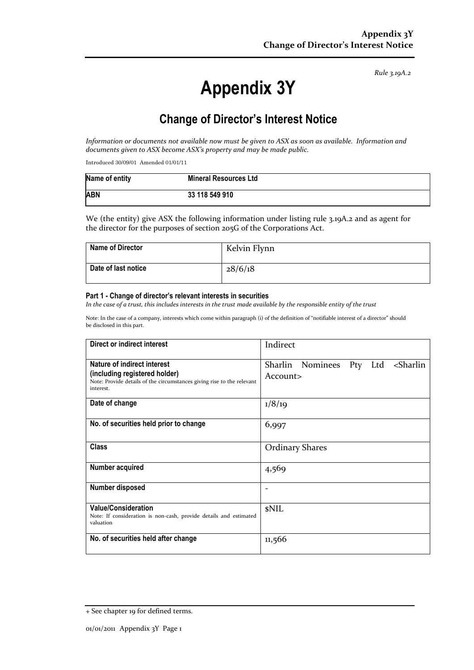*Rule 3.19A.2*

# **Appendix 3Y**

# **Change of Director's Interest Notice**

*Information or documents not available now must be given to ASX as soon as available. Information and documents given to ASX become ASX's property and may be made public.*

Introduced 30/09/01 Amended 01/01/11

| Name of entity | <b>Mineral Resources Ltd</b> |
|----------------|------------------------------|
| <b>ABN</b>     | 33 118 549 910               |

We (the entity) give ASX the following information under listing rule 3.19A.2 and as agent for the director for the purposes of section 205G of the Corporations Act.

| <b>Name of Director</b> | Kelvin Flynn |
|-------------------------|--------------|
| Date of last notice     | 28/6/18      |

#### **Part 1 - Change of director's relevant interests in securities**

*In the case of a trust, this includes interests in the trust made available by the responsible entity of the trust*

Note: In the case of a company, interests which come within paragraph (i) of the definition of "notifiable interest of a director" should be disclosed in this part.

| Direct or indirect interest                                                                                                                         | Indirect                                                      |
|-----------------------------------------------------------------------------------------------------------------------------------------------------|---------------------------------------------------------------|
| Nature of indirect interest<br>(including registered holder)<br>Note: Provide details of the circumstances giving rise to the relevant<br>interest. | Sharlin Nominees Pty Ltd <sharlin<br>Account&gt;</sharlin<br> |
| Date of change                                                                                                                                      | 1/8/19                                                        |
| No. of securities held prior to change                                                                                                              | 6,997                                                         |
| <b>Class</b>                                                                                                                                        | <b>Ordinary Shares</b>                                        |
| Number acquired                                                                                                                                     | 4,569                                                         |
| <b>Number disposed</b>                                                                                                                              |                                                               |
| <b>Value/Consideration</b><br>Note: If consideration is non-cash, provide details and estimated<br>valuation                                        | <b>sNIL</b>                                                   |
| No. of securities held after change                                                                                                                 | 11,566                                                        |

<sup>+</sup> See chapter 19 for defined terms.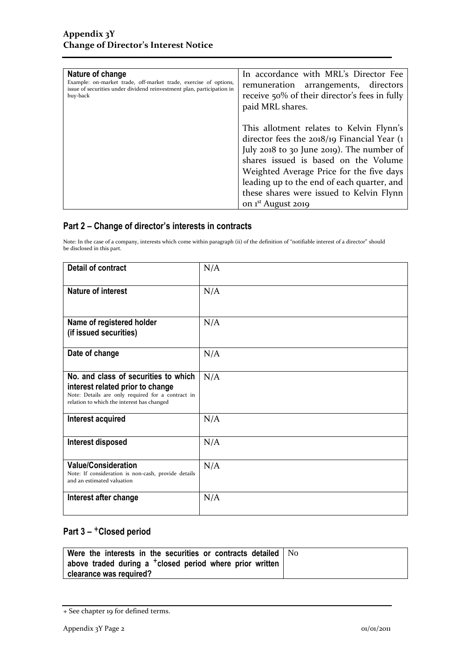| Nature of change                                                       | In accordance with MRL's Director Fee                                                                                                                                                                                                                                                                                                                   |
|------------------------------------------------------------------------|---------------------------------------------------------------------------------------------------------------------------------------------------------------------------------------------------------------------------------------------------------------------------------------------------------------------------------------------------------|
| Example: on-market trade, off-market trade, exercise of options,       | remuneration arrangements, directors                                                                                                                                                                                                                                                                                                                    |
| issue of securities under dividend reinvestment plan, participation in | receive 50% of their director's fees in fully                                                                                                                                                                                                                                                                                                           |
| buy-back                                                               | paid MRL shares.                                                                                                                                                                                                                                                                                                                                        |
|                                                                        | This allotment relates to Kelvin Flynn's<br>director fees the $2018/19$ Financial Year (1)<br>July 2018 to 30 June 2019). The number of<br>shares issued is based on the Volume<br>Weighted Average Price for the five days<br>leading up to the end of each quarter, and<br>these shares were issued to Kelvin Flynn<br>on 1 <sup>st</sup> August 2019 |

### **Part 2 – Change of director's interests in contracts**

Note: In the case of a company, interests which come within paragraph (ii) of the definition of "notifiable interest of a director" should be disclosed in this part.

| <b>Detail of contract</b>                                                                                                                                                   | N/A |
|-----------------------------------------------------------------------------------------------------------------------------------------------------------------------------|-----|
| Nature of interest                                                                                                                                                          | N/A |
| Name of registered holder<br>(if issued securities)                                                                                                                         | N/A |
| Date of change                                                                                                                                                              | N/A |
| No. and class of securities to which<br>interest related prior to change<br>Note: Details are only required for a contract in<br>relation to which the interest has changed | N/A |
| Interest acquired                                                                                                                                                           | N/A |
| Interest disposed                                                                                                                                                           | N/A |
| <b>Value/Consideration</b><br>Note: If consideration is non-cash, provide details<br>and an estimated valuation                                                             | N/A |
| Interest after change                                                                                                                                                       | N/A |

## **Part 3 –** +**Closed period**

| Were the interests in the securities or contracts detailed $\vert$ $\mathrm{No}$ |  |
|----------------------------------------------------------------------------------|--|
| above traded during a <sup>+</sup> closed period where prior written             |  |
| clearance was required?                                                          |  |

<sup>+</sup> See chapter 19 for defined terms.